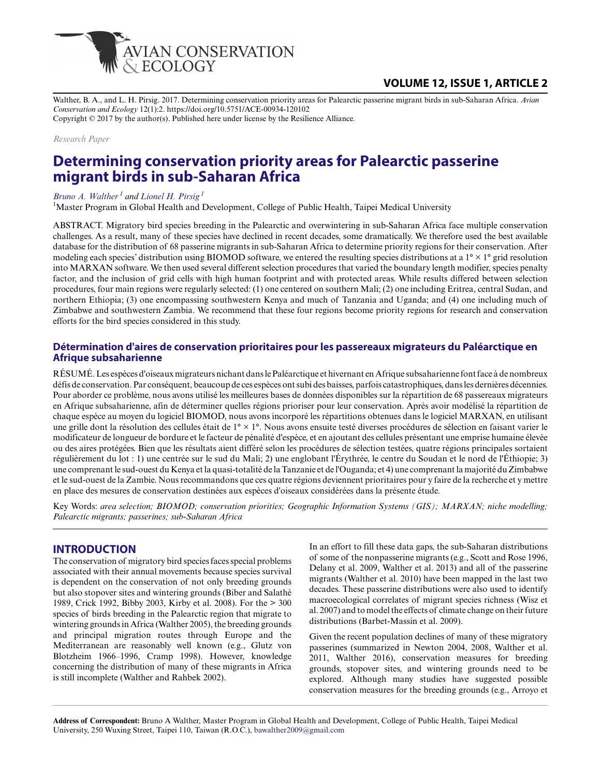

# **VOLUME 12, ISSUE 1, ARTICLE 2**

Walther, B. A., and L. H. Pirsig. 2017. Determining conservation priority areas for Palearctic passerine migrant birds in sub-Saharan Africa. *Avian Conservation and Ecology* 12(1):2. https://doi.org/10.5751/ACE-00934-120102 Copyright © 2017 by the author(s). Published here under license by the Resilience Alliance.

*Research Paper*

# **Determining conservation priority areas for Palearctic passerine migrant birds in sub-Saharan Africa**

#### *[Bruno A. Walther](mailto:bawalther2009@gmail.com)<sup>1</sup> and [Lionel H. Pirsig](mailto:LPirsigTaipei16@gmail.com)<sup>1</sup>*

<sup>1</sup>Master Program in Global Health and Development, College of Public Health, Taipei Medical University

ABSTRACT. Migratory bird species breeding in the Palearctic and overwintering in sub-Saharan Africa face multiple conservation challenges. As a result, many of these species have declined in recent decades, some dramatically. We therefore used the best available database for the distribution of 68 passerine migrants in sub-Saharan Africa to determine priority regions for their conservation. After modeling each species' distribution using BIOMOD software, we entered the resulting species distributions at a  $1^{\circ} \times 1^{\circ}$  grid resolution into MARXAN software. We then used several different selection procedures that varied the boundary length modifier, species penalty factor, and the inclusion of grid cells with high human footprint and with protected areas. While results differed between selection procedures, four main regions were regularly selected: (1) one centered on southern Mali; (2) one including Eritrea, central Sudan, and northern Ethiopia; (3) one encompassing southwestern Kenya and much of Tanzania and Uganda; and (4) one including much of Zimbabwe and southwestern Zambia. We recommend that these four regions become priority regions for research and conservation efforts for the bird species considered in this study.

#### **Détermination d'aires de conservation prioritaires pour les passereaux migrateurs du Paléarctique en Afrique subsaharienne**

RÉSUMÉ. Les espèces d'oiseaux migrateurs nichant dans le Paléarctique et hivernant en Afrique subsaharienne font face à de nombreux défis de conservation. Par conséquent, beaucoup de ces espèces ont subi des baisses, parfois catastrophiques, dans les dernières décennies. Pour aborder ce problème, nous avons utilisé les meilleures bases de données disponibles sur la répartition de 68 passereaux migrateurs en Afrique subsaharienne, afin de déterminer quelles régions prioriser pour leur conservation. Après avoir modélisé la répartition de chaque espèce au moyen du logiciel BIOMOD, nous avons incorporé les répartitions obtenues dans le logiciel MARXAN, en utilisant une grille dont la résolution des cellules était de 1° × 1°. Nous avons ensuite testé diverses procédures de sélection en faisant varier le modificateur de longueur de bordure et le facteur de pénalité d'espèce, et en ajoutant des cellules présentant une emprise humaine élevée ou des aires protégées. Bien que les résultats aient différé selon les procédures de sélection testées, quatre régions principales sortaient régulièrement du lot : 1) une centrée sur le sud du Mali; 2) une englobant l'Érythrée, le centre du Soudan et le nord de l'Éthiopie; 3) une comprenant le sud-ouest du Kenya et la quasi-totalité de la Tanzanie et de l'Ouganda; et 4) une comprenant la majorité du Zimbabwe et le sud-ouest de la Zambie. Nous recommandons que ces quatre régions deviennent prioritaires pour y faire de la recherche et y mettre en place des mesures de conservation destinées aux espèces d'oiseaux considérées dans la présente étude.

Key Words: *area selection; BIOMOD; conservation priorities; Geographic Information Systems (GIS); MARXAN; niche modelling; Palearctic migrants; passerines; sub-Saharan Africa*

# **INTRODUCTION**

The conservation of migratory bird species faces special problems associated with their annual movements because species survival is dependent on the conservation of not only breeding grounds but also stopover sites and wintering grounds (Biber and Salathé 1989, Crick 1992, Bibby 2003, Kirby et al. 2008). For the > 300 species of birds breeding in the Palearctic region that migrate to wintering grounds in Africa (Walther 2005), the breeding grounds and principal migration routes through Europe and the Mediterranean are reasonably well known (e.g., Glutz von Blotzheim 1966–1996, Cramp 1998). However, knowledge concerning the distribution of many of these migrants in Africa is still incomplete (Walther and Rahbek 2002).

In an effort to fill these data gaps, the sub-Saharan distributions of some of the nonpasserine migrants (e.g., Scott and Rose 1996, Delany et al. 2009, Walther et al. 2013) and all of the passerine migrants (Walther et al. 2010) have been mapped in the last two decades. These passerine distributions were also used to identify macroecological correlates of migrant species richness (Wisz et al. 2007) and to model the effects of climate change on their future distributions (Barbet-Massin et al. 2009).

Given the recent population declines of many of these migratory passerines (summarized in Newton 2004, 2008, Walther et al. 2011, Walther 2016), conservation measures for breeding grounds, stopover sites, and wintering grounds need to be explored. Although many studies have suggested possible conservation measures for the breeding grounds (e.g., Arroyo et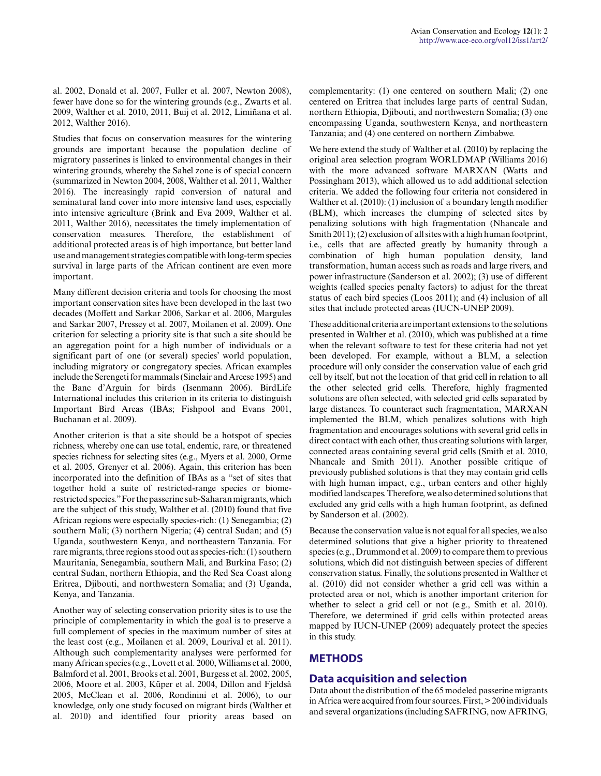al. 2002, Donald et al. 2007, Fuller et al. 2007, Newton 2008), fewer have done so for the wintering grounds (e.g., Zwarts et al. 2009, Walther et al. 2010, 2011, Buij et al. 2012, Limiñana et al. 2012, Walther 2016).

Studies that focus on conservation measures for the wintering grounds are important because the population decline of migratory passerines is linked to environmental changes in their wintering grounds, whereby the Sahel zone is of special concern (summarized in Newton 2004, 2008, Walther et al. 2011, Walther 2016). The increasingly rapid conversion of natural and seminatural land cover into more intensive land uses, especially into intensive agriculture (Brink and Eva 2009, Walther et al. 2011, Walther 2016), necessitates the timely implementation of conservation measures. Therefore, the establishment of additional protected areas is of high importance, but better land use and management strategies compatible with long-term species survival in large parts of the African continent are even more important.

Many different decision criteria and tools for choosing the most important conservation sites have been developed in the last two decades (Moffett and Sarkar 2006, Sarkar et al. 2006, Margules and Sarkar 2007, Pressey et al. 2007, Moilanen et al. 2009). One criterion for selecting a priority site is that such a site should be an aggregation point for a high number of individuals or a significant part of one (or several) species' world population, including migratory or congregatory species. African examples include the Serengeti for mammals (Sinclair and Arcese 1995) and the Banc d'Arguin for birds (Isenmann 2006). BirdLife International includes this criterion in its criteria to distinguish Important Bird Areas (IBAs; Fishpool and Evans 2001, Buchanan et al. 2009).

Another criterion is that a site should be a hotspot of species richness, whereby one can use total, endemic, rare, or threatened species richness for selecting sites (e.g., Myers et al. 2000, Orme et al. 2005, Grenyer et al. 2006). Again, this criterion has been incorporated into the definition of IBAs as a "set of sites that together hold a suite of restricted-range species or biomerestricted species." For the passerine sub-Saharan migrants, which are the subject of this study, Walther et al. (2010) found that five African regions were especially species-rich: (1) Senegambia; (2) southern Mali; (3) northern Nigeria; (4) central Sudan; and (5) Uganda, southwestern Kenya, and northeastern Tanzania. For rare migrants, three regions stood out as species-rich: (1) southern Mauritania, Senegambia, southern Mali, and Burkina Faso; (2) central Sudan, northern Ethiopia, and the Red Sea Coast along Eritrea, Djibouti, and northwestern Somalia; and (3) Uganda, Kenya, and Tanzania.

Another way of selecting conservation priority sites is to use the principle of complementarity in which the goal is to preserve a full complement of species in the maximum number of sites at the least cost (e.g., Moilanen et al. 2009, Lourival et al. 2011). Although such complementarity analyses were performed for many African species (e.g., Lovett et al. 2000, Williams et al. 2000, Balmford et al. 2001, Brooks et al. 2001, Burgess et al. 2002, 2005, 2006, Moore et al. 2003, Küper et al. 2004, Dillon and Fjeldså 2005, McClean et al. 2006, Rondinini et al. 2006), to our knowledge, only one study focused on migrant birds (Walther et al. 2010) and identified four priority areas based on complementarity: (1) one centered on southern Mali; (2) one centered on Eritrea that includes large parts of central Sudan, northern Ethiopia, Djibouti, and northwestern Somalia; (3) one encompassing Uganda, southwestern Kenya, and northeastern Tanzania; and (4) one centered on northern Zimbabwe.

We here extend the study of Walther et al. (2010) by replacing the original area selection program WORLDMAP (Williams 2016) with the more advanced software MARXAN (Watts and Possingham 2013), which allowed us to add additional selection criteria. We added the following four criteria not considered in Walther et al. (2010): (1) inclusion of a boundary length modifier (BLM), which increases the clumping of selected sites by penalizing solutions with high fragmentation (Nhancale and Smith 2011); (2) exclusion of all sites with a high human footprint, i.e., cells that are affected greatly by humanity through a combination of high human population density, land transformation, human access such as roads and large rivers, and power infrastructure (Sanderson et al. 2002); (3) use of different weights (called species penalty factors) to adjust for the threat status of each bird species (Loos 2011); and (4) inclusion of all sites that include protected areas (IUCN-UNEP 2009).

These additional criteria are important extensions to the solutions presented in Walther et al. (2010), which was published at a time when the relevant software to test for these criteria had not yet been developed. For example, without a BLM, a selection procedure will only consider the conservation value of each grid cell by itself, but not the location of that grid cell in relation to all the other selected grid cells. Therefore, highly fragmented solutions are often selected, with selected grid cells separated by large distances. To counteract such fragmentation, MARXAN implemented the BLM, which penalizes solutions with high fragmentation and encourages solutions with several grid cells in direct contact with each other, thus creating solutions with larger, connected areas containing several grid cells (Smith et al. 2010, Nhancale and Smith 2011). Another possible critique of previously published solutions is that they may contain grid cells with high human impact, e.g., urban centers and other highly modified landscapes. Therefore, we also determined solutions that excluded any grid cells with a high human footprint, as defined by Sanderson et al. (2002).

Because the conservation value is not equal for all species, we also determined solutions that give a higher priority to threatened species (e.g., Drummond et al. 2009) to compare them to previous solutions, which did not distinguish between species of different conservation status. Finally, the solutions presented in Walther et al. (2010) did not consider whether a grid cell was within a protected area or not, which is another important criterion for whether to select a grid cell or not (e.g., Smith et al. 2010). Therefore, we determined if grid cells within protected areas mapped by IUCN-UNEP (2009) adequately protect the species in this study.

# **METHODS**

# **Data acquisition and selection**

Data about the distribution of the 65 modeled passerine migrants in Africa were acquired from four sources. First, > 200 individuals and several organizations (including SAFRING, now AFRING,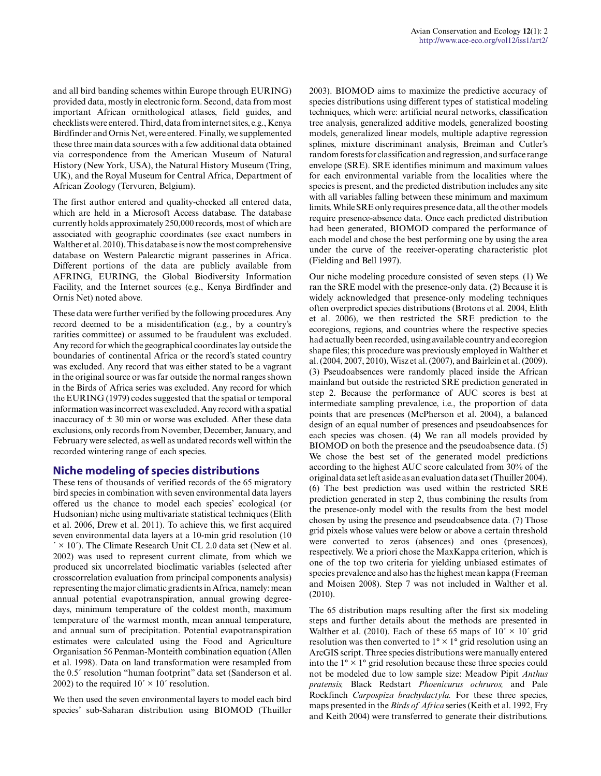and all bird banding schemes within Europe through EURING) provided data, mostly in electronic form. Second, data from most important African ornithological atlases, field guides, and checklists were entered. Third, data from internet sites, e.g., Kenya Birdfinder and Ornis Net, were entered. Finally, we supplemented these three main data sources with a few additional data obtained via correspondence from the American Museum of Natural History (New York, USA), the Natural History Museum (Tring, UK), and the Royal Museum for Central Africa, Department of African Zoology (Tervuren, Belgium).

The first author entered and quality-checked all entered data, which are held in a Microsoft Access database. The database currently holds approximately 250,000 records, most of which are associated with geographic coordinates (see exact numbers in Walther et al. 2010). This database is now the most comprehensive database on Western Palearctic migrant passerines in Africa. Different portions of the data are publicly available from AFRING, EURING, the Global Biodiversity Information Facility, and the Internet sources (e.g., Kenya Birdfinder and Ornis Net) noted above.

These data were further verified by the following procedures. Any record deemed to be a misidentification (e.g., by a country's rarities committee) or assumed to be fraudulent was excluded. Any record for which the geographical coordinates lay outside the boundaries of continental Africa or the record's stated country was excluded. Any record that was either stated to be a vagrant in the original source or was far outside the normal ranges shown in the Birds of Africa series was excluded. Any record for which the EURING (1979) codes suggested that the spatial or temporal information was incorrect was excluded. Any record with a spatial inaccuracy of  $\pm$  30 min or worse was excluded. After these data exclusions, only records from November, December, January, and February were selected, as well as undated records well within the recorded wintering range of each species.

#### **Niche modeling of species distributions**

These tens of thousands of verified records of the 65 migratory bird species in combination with seven environmental data layers offered us the chance to model each species' ecological (or Hudsonian) niche using multivariate statistical techniques (Elith et al. 2006, Drew et al. 2011). To achieve this, we first acquired seven environmental data layers at a 10-min grid resolution (10  $\alpha$   $\times$  10 $^{\prime}$ ). The Climate Research Unit CL 2.0 data set (New et al. 2002) was used to represent current climate, from which we produced six uncorrelated bioclimatic variables (selected after crosscorrelation evaluation from principal components analysis) representing the major climatic gradients in Africa, namely: mean annual potential evapotranspiration, annual growing degreedays, minimum temperature of the coldest month, maximum temperature of the warmest month, mean annual temperature, and annual sum of precipitation. Potential evapotranspiration estimates were calculated using the Food and Agriculture Organisation 56 Penman-Monteith combination equation (Allen et al. 1998). Data on land transformation were resampled from the 0.5´ resolution "human footprint" data set (Sanderson et al. 2002) to the required  $10' \times 10'$  resolution.

We then used the seven environmental layers to model each bird species' sub-Saharan distribution using BIOMOD (Thuiller

2003). BIOMOD aims to maximize the predictive accuracy of species distributions using different types of statistical modeling techniques, which were: artificial neural networks, classification tree analysis, generalized additive models, generalized boosting models, generalized linear models, multiple adaptive regression splines, mixture discriminant analysis, Breiman and Cutler's random forests for classification and regression, and surface range envelope (SRE). SRE identifies minimum and maximum values for each environmental variable from the localities where the species is present, and the predicted distribution includes any site with all variables falling between these minimum and maximum limits. While SRE only requires presence data, all the other models require presence-absence data. Once each predicted distribution had been generated, BIOMOD compared the performance of each model and chose the best performing one by using the area under the curve of the receiver-operating characteristic plot (Fielding and Bell 1997).

Our niche modeling procedure consisted of seven steps. (1) We ran the SRE model with the presence-only data. (2) Because it is widely acknowledged that presence-only modeling techniques often overpredict species distributions (Brotons et al. 2004, Elith et al. 2006), we then restricted the SRE prediction to the ecoregions, regions, and countries where the respective species had actually been recorded, using available country and ecoregion shape files; this procedure was previously employed in Walther et al. (2004, 2007, 2010), Wisz et al. (2007), and Bairlein et al. (2009). (3) Pseudoabsences were randomly placed inside the African mainland but outside the restricted SRE prediction generated in step 2. Because the performance of AUC scores is best at intermediate sampling prevalence, i.e., the proportion of data points that are presences (McPherson et al. 2004), a balanced design of an equal number of presences and pseudoabsences for each species was chosen. (4) We ran all models provided by BIOMOD on both the presence and the pseudoabsence data. (5) We chose the best set of the generated model predictions according to the highest AUC score calculated from 30% of the original data set left aside as an evaluation data set (Thuiller 2004). (6) The best prediction was used within the restricted SRE prediction generated in step 2, thus combining the results from the presence-only model with the results from the best model chosen by using the presence and pseudoabsence data. (7) Those grid pixels whose values were below or above a certain threshold were converted to zeros (absences) and ones (presences), respectively. We a priori chose the MaxKappa criterion, which is one of the top two criteria for yielding unbiased estimates of species prevalence and also has the highest mean kappa (Freeman and Moisen 2008). Step 7 was not included in Walther et al. (2010).

The 65 distribution maps resulting after the first six modeling steps and further details about the methods are presented in Walther et al. (2010). Each of these 65 maps of  $10' \times 10'$  grid resolution was then converted to  $1^{\circ} \times 1^{\circ}$  grid resolution using an ArcGIS script. Three species distributions were manually entered into the  $1^\circ \times 1^\circ$  grid resolution because these three species could not be modeled due to low sample size: Meadow Pipit *Anthus pratensis,* Black Redstart *Phoenicurus ochruros,* and Pale Rockfinch *Carpospiza brachydactyla.* For these three species, maps presented in the *Birds of Africa* series (Keith et al. 1992, Fry and Keith 2004) were transferred to generate their distributions.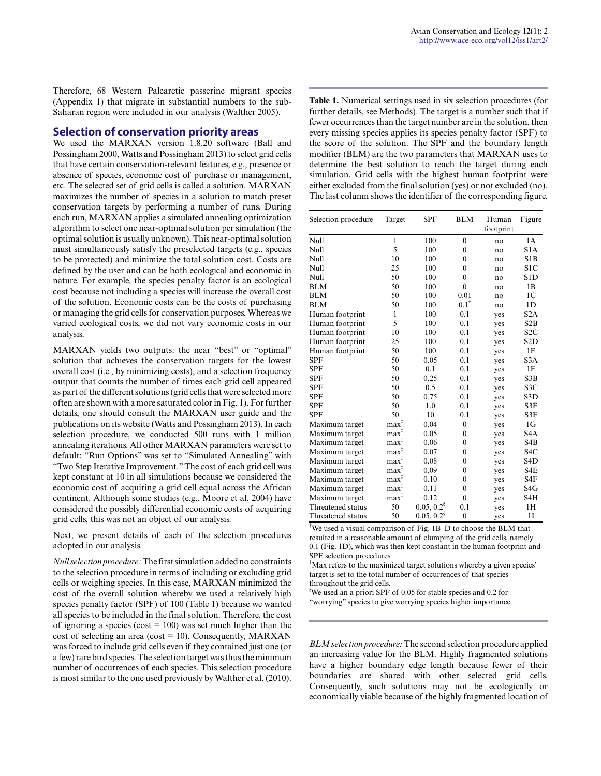Therefore, 68 Western Palearctic passerine migrant species (Appendix 1) that migrate in substantial numbers to the sub-Saharan region were included in our analysis (Walther 2005).

#### **Selection of conservation priority areas**

We used the MARXAN version 1.8.20 software (Ball and Possingham 2000, Watts and Possingham 2013) to select grid cells that have certain conservation-relevant features, e.g., presence or absence of species, economic cost of purchase or management, etc. The selected set of grid cells is called a solution. MARXAN maximizes the number of species in a solution to match preset conservation targets by performing a number of runs. During each run, MARXAN applies a simulated annealing optimization algorithm to select one near-optimal solution per simulation (the optimal solution is usually unknown). This near-optimal solution must simultaneously satisfy the preselected targets (e.g., species to be protected) and minimize the total solution cost. Costs are defined by the user and can be both ecological and economic in nature. For example, the species penalty factor is an ecological cost because not including a species will increase the overall cost of the solution. Economic costs can be the costs of purchasing or managing the grid cells for conservation purposes. Whereas we varied ecological costs, we did not vary economic costs in our analysis.

MARXAN yields two outputs: the near "best" or "optimal" solution that achieves the conservation targets for the lowest overall cost (i.e., by minimizing costs), and a selection frequency output that counts the number of times each grid cell appeared as part of the different solutions (grid cells that were selected more often are shown with a more saturated color in Fig. 1). For further details, one should consult the MARXAN user guide and the publications on its website (Watts and Possingham 2013). In each selection procedure, we conducted 500 runs with 1 million annealing iterations. All other MARXAN parameters were set to default: "Run Options" was set to "Simulated Annealing" with "Two Step Iterative Improvement." The cost of each grid cell was kept constant at 10 in all simulations because we considered the economic cost of acquiring a grid cell equal across the African continent. Although some studies (e.g., Moore et al. 2004) have considered the possibly differential economic costs of acquiring grid cells, this was not an object of our analysis.

Next, we present details of each of the selection procedures adopted in our analysis.

*Null selection procedure:* The first simulation added no constraints to the selection procedure in terms of including or excluding grid cells or weighing species. In this case, MARXAN minimized the cost of the overall solution whereby we used a relatively high species penalty factor (SPF) of 100 (Table 1) because we wanted all species to be included in the final solution. Therefore, the cost of ignoring a species (cost  $= 100$ ) was set much higher than the cost of selecting an area (cost  $= 10$ ). Consequently, MARXAN was forced to include grid cells even if they contained just one (or a few) rare bird species. The selection target was thus the minimum number of occurrences of each species. This selection procedure is most similar to the one used previously by Walther et al. (2010).

**Table 1.** Numerical settings used in six selection procedures (for further details, see Methods). The target is a number such that if fewer occurrences than the target number are in the solution, then every missing species applies its species penalty factor (SPF) to the score of the solution. The SPF and the boundary length modifier (BLM) are the two parameters that MARXAN uses to determine the best solution to reach the target during each simulation. Grid cells with the highest human footprint were either excluded from the final solution (yes) or not excluded (no). The last column shows the identifier of the corresponding figure.

| Selection procedure | Target           | <b>SPF</b>             | <b>BLM</b>      | Human     | Figure           |
|---------------------|------------------|------------------------|-----------------|-----------|------------------|
|                     |                  |                        |                 | footprint |                  |
| Null                | $\mathbf{1}$     | 100                    | $\mathbf{0}$    | no        | 1A               |
| Null                | 5                | 100                    | $\mathbf{0}$    | no        | S <sub>1</sub> A |
| Null                | 10               | 100                    | $\theta$        | no        | S1 <sub>B</sub>  |
| Null                | 25               | 100                    | $\theta$        | no        | S <sub>1</sub> C |
| Null                | 50               | 100                    | $\theta$        | no        | S1D              |
| <b>BLM</b>          | 50               | 100                    | $\theta$        | no        | 1B               |
| <b>BLM</b>          | 50               | 100                    | 0.01            | no        | 1C               |
| <b>BLM</b>          | 50               | 100                    | $0.1^{\dagger}$ | no        | 1D               |
| Human footprint     | 1                | 100                    | 0.1             | yes       | S <sub>2</sub> A |
| Human footprint     | 5                | 100                    | 0.1             | yes       | S <sub>2</sub> B |
| Human footprint     | 10               | 100                    | 0.1             | yes       | S <sub>2</sub> C |
| Human footprint     | 25               | 100                    | 0.1             | yes       | S <sub>2</sub> D |
| Human footprint     | 50               | 100                    | 0.1             | yes       | 1E               |
| <b>SPF</b>          | 50               | 0.05                   | 0.1             | yes       | S <sub>3</sub> A |
| <b>SPF</b>          | 50               | 0.1                    | 0.1             | yes       | 1F               |
| <b>SPF</b>          | 50               | 0.25                   | 0.1             | yes       | S3B              |
| <b>SPF</b>          | 50               | 0.5                    | 0.1             | yes       | S <sub>3</sub> C |
| <b>SPF</b>          | 50               | 0.75                   | 0.1             | yes       | S3D              |
| <b>SPF</b>          | 50               | 1.0                    | 0.1             | yes       | S3E              |
| <b>SPF</b>          | 50               | 10                     | 0.1             | yes       | S3F              |
| Maximum target      | $max^{\ddagger}$ | 0.04                   | $\mathbf{0}$    | yes       | 1G               |
| Maximum target      | max <sup>†</sup> | 0.05                   | $\theta$        | yes       | S <sub>4</sub> A |
| Maximum target      | max <sup>1</sup> | 0.06                   | $\mathbf{0}$    | yes       | S <sub>4</sub> B |
| Maximum target      | max <sup>†</sup> | 0.07                   | $\theta$        | yes       | S <sub>4</sub> C |
| Maximum target      | max <sup>†</sup> | 0.08                   | $\theta$        | yes       | S <sub>4</sub> D |
| Maximum target      | $max^{\ddagger}$ | 0.09                   | $\mathbf{0}$    | yes       | S <sub>4</sub> E |
| Maximum target      | $max^{\ddagger}$ | 0.10                   | $\theta$        | yes       | S <sub>4</sub> F |
| Maximum target      | max <sup>†</sup> | 0.11                   | $\mathbf{0}$    | yes       | S <sub>4</sub> G |
| Maximum target      | $max^{\ddagger}$ | 0.12                   | $\theta$        | yes       | S4H              |
| Threatened status   | 50               | 0.05, 0.2 <sup>8</sup> | 0.1             | yes       | 1H               |
| Threatened status   | 50               | $0.05, 0.2^{\$}$       | $\overline{0}$  | yes       | 1 <sub>I</sub>   |

†We used a visual comparison of Fig. 1B–D to choose the BLM that resulted in a reasonable amount of clumping of the grid cells, namely 0.1 (Fig. 1D), which was then kept constant in the human footprint and SPF selection procedures.

‡Max refers to the maximized target solutions whereby a given species' target is set to the total number of occurrences of that species throughout the grid cells.

§We used an a priori SPF of 0.05 for stable species and 0.2 for "worrying" species to give worrying species higher importance.

*BLM selection procedure:* The second selection procedure applied an increasing value for the BLM. Highly fragmented solutions have a higher boundary edge length because fewer of their boundaries are shared with other selected grid cells. Consequently, such solutions may not be ecologically or economically viable because of the highly fragmented location of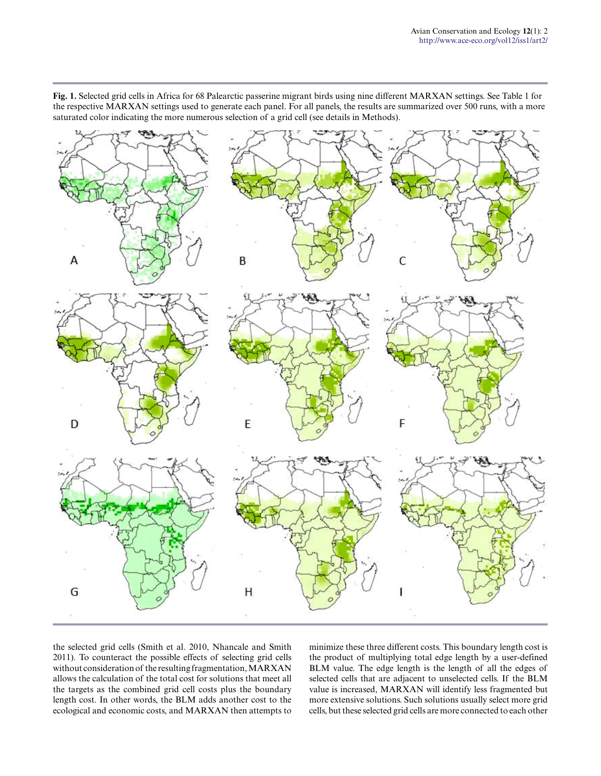**Fig. 1.** Selected grid cells in Africa for 68 Palearctic passerine migrant birds using nine different MARXAN settings. See Table 1 for the respective MARXAN settings used to generate each panel. For all panels, the results are summarized over 500 runs, with a more saturated color indicating the more numerous selection of a grid cell (see details in Methods).



the selected grid cells (Smith et al. 2010, Nhancale and Smith 2011). To counteract the possible effects of selecting grid cells without consideration of the resulting fragmentation, MARXAN allows the calculation of the total cost for solutions that meet all the targets as the combined grid cell costs plus the boundary length cost. In other words, the BLM adds another cost to the ecological and economic costs, and MARXAN then attempts to minimize these three different costs. This boundary length cost is the product of multiplying total edge length by a user-defined BLM value. The edge length is the length of all the edges of selected cells that are adjacent to unselected cells. If the BLM value is increased, MARXAN will identify less fragmented but more extensive solutions. Such solutions usually select more grid cells, but these selected grid cells are more connected to each other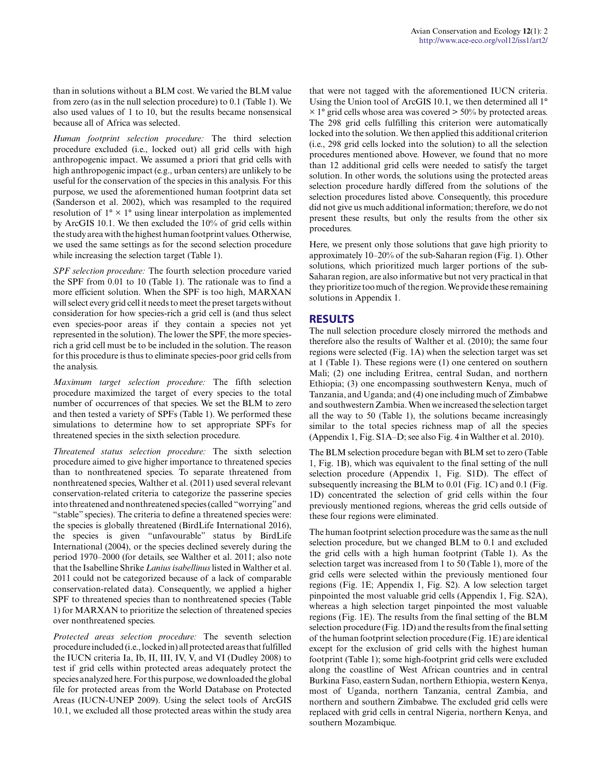than in solutions without a BLM cost. We varied the BLM value from zero (as in the null selection procedure) to 0.1 (Table 1). We also used values of 1 to 10, but the results became nonsensical because all of Africa was selected.

*Human footprint selection procedure:* The third selection procedure excluded (i.e., locked out) all grid cells with high anthropogenic impact. We assumed a priori that grid cells with high anthropogenic impact (e.g., urban centers) are unlikely to be useful for the conservation of the species in this analysis. For this purpose, we used the aforementioned human footprint data set (Sanderson et al. 2002), which was resampled to the required resolution of  $1^\circ \times 1^\circ$  using linear interpolation as implemented by ArcGIS 10.1. We then excluded the 10% of grid cells within the study area with the highest human footprint values. Otherwise, we used the same settings as for the second selection procedure while increasing the selection target (Table 1).

*SPF selection procedure:* The fourth selection procedure varied the SPF from 0.01 to 10 (Table 1). The rationale was to find a more efficient solution. When the SPF is too high, MARXAN will select every grid cell it needs to meet the preset targets without consideration for how species-rich a grid cell is (and thus select even species-poor areas if they contain a species not yet represented in the solution). The lower the SPF, the more speciesrich a grid cell must be to be included in the solution. The reason for this procedure is thus to eliminate species-poor grid cells from the analysis.

*Maximum target selection procedure:* The fifth selection procedure maximized the target of every species to the total number of occurrences of that species. We set the BLM to zero and then tested a variety of SPFs (Table 1). We performed these simulations to determine how to set appropriate SPFs for threatened species in the sixth selection procedure.

*Threatened status selection procedure:* The sixth selection procedure aimed to give higher importance to threatened species than to nonthreatened species. To separate threatened from nonthreatened species, Walther et al. (2011) used several relevant conservation-related criteria to categorize the passerine species into threatened and nonthreatened species (called "worrying" and "stable" species). The criteria to define a threatened species were: the species is globally threatened (BirdLife International 2016), the species is given "unfavourable" status by BirdLife International (2004), or the species declined severely during the period 1970–2000 (for details, see Walther et al. 2011; also note that the Isabelline Shrike *Lanius isabellinus* listed in Walther et al. 2011 could not be categorized because of a lack of comparable conservation-related data). Consequently, we applied a higher SPF to threatened species than to nonthreatened species (Table 1) for MARXAN to prioritize the selection of threatened species over nonthreatened species.

*Protected areas selection procedure:* The seventh selection procedure included (i.e., locked in) all protected areas that fulfilled the IUCN criteria Ia, Ib, II, III, IV, V, and VI (Dudley 2008) to test if grid cells within protected areas adequately protect the species analyzed here. For this purpose, we downloaded the global file for protected areas from the World Database on Protected Areas (IUCN-UNEP 2009). Using the select tools of ArcGIS 10.1, we excluded all those protected areas within the study area that were not tagged with the aforementioned IUCN criteria. Using the Union tool of ArcGIS 10.1, we then determined all 1°  $\times$  1° grid cells whose area was covered  $>$  50% by protected areas. The 298 grid cells fulfilling this criterion were automatically locked into the solution. We then applied this additional criterion (i.e., 298 grid cells locked into the solution) to all the selection procedures mentioned above. However, we found that no more than 12 additional grid cells were needed to satisfy the target solution. In other words, the solutions using the protected areas selection procedure hardly differed from the solutions of the selection procedures listed above. Consequently, this procedure did not give us much additional information; therefore, we do not present these results, but only the results from the other six procedures.

Here, we present only those solutions that gave high priority to approximately 10–20% of the sub-Saharan region (Fig. 1). Other solutions, which prioritized much larger portions of the sub-Saharan region, are also informative but not very practical in that they prioritize too much of the region. We provide these remaining solutions in Appendix 1.

### **RESULTS**

The null selection procedure closely mirrored the methods and therefore also the results of Walther et al. (2010); the same four regions were selected (Fig. 1A) when the selection target was set at 1 (Table 1). These regions were (1) one centered on southern Mali; (2) one including Eritrea, central Sudan, and northern Ethiopia; (3) one encompassing southwestern Kenya, much of Tanzania, and Uganda; and (4) one including much of Zimbabwe and southwestern Zambia. When we increased the selection target all the way to 50 (Table 1), the solutions became increasingly similar to the total species richness map of all the species (Appendix 1, Fig. S1A–D; see also Fig. 4 in Walther et al. 2010).

The BLM selection procedure began with BLM set to zero (Table 1, Fig. 1B), which was equivalent to the final setting of the null selection procedure (Appendix 1, Fig. S1D). The effect of subsequently increasing the BLM to 0.01 (Fig. 1C) and 0.1 (Fig. 1D) concentrated the selection of grid cells within the four previously mentioned regions, whereas the grid cells outside of these four regions were eliminated.

The human footprint selection procedure was the same as the null selection procedure, but we changed BLM to 0.1 and excluded the grid cells with a high human footprint (Table 1). As the selection target was increased from 1 to 50 (Table 1), more of the grid cells were selected within the previously mentioned four regions (Fig. 1E; Appendix 1, Fig. S2). A low selection target pinpointed the most valuable grid cells (Appendix 1, Fig. S2A), whereas a high selection target pinpointed the most valuable regions (Fig. 1E). The results from the final setting of the BLM selection procedure (Fig. 1D) and the results from the final setting of the human footprint selection procedure (Fig. 1E) are identical except for the exclusion of grid cells with the highest human footprint (Table 1); some high-footprint grid cells were excluded along the coastline of West African countries and in central Burkina Faso, eastern Sudan, northern Ethiopia, western Kenya, most of Uganda, northern Tanzania, central Zambia, and northern and southern Zimbabwe. The excluded grid cells were replaced with grid cells in central Nigeria, northern Kenya, and southern Mozambique.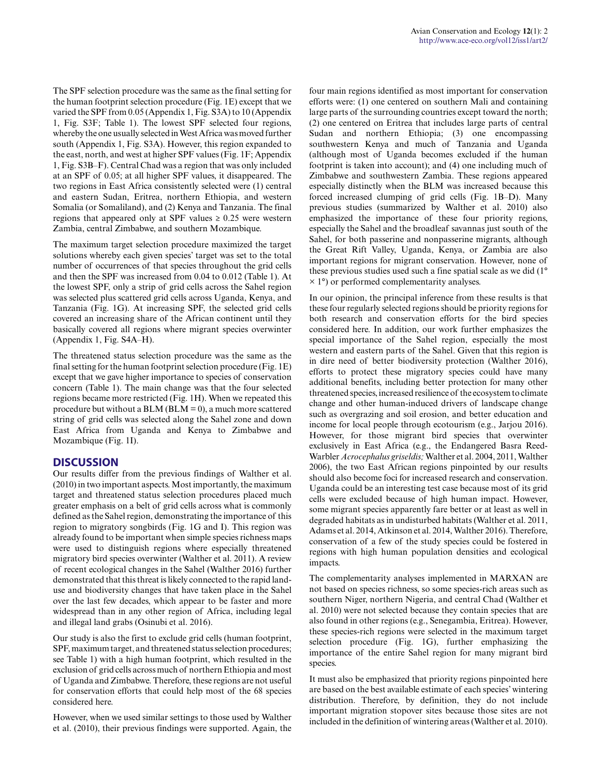The SPF selection procedure was the same as the final setting for the human footprint selection procedure (Fig. 1E) except that we varied the SPF from 0.05 (Appendix 1, Fig. S3A) to 10 (Appendix 1, Fig. S3F; Table 1). The lowest SPF selected four regions, whereby the one usually selected in West Africa was moved further south (Appendix 1, Fig. S3A). However, this region expanded to the east, north, and west at higher SPF values (Fig. 1F; Appendix 1, Fig. S3B–F). Central Chad was a region that was only included at an SPF of 0.05; at all higher SPF values, it disappeared. The two regions in East Africa consistently selected were (1) central and eastern Sudan, Eritrea, northern Ethiopia, and western Somalia (or Somaliland), and (2) Kenya and Tanzania. The final regions that appeared only at SPF values  $\geq 0.25$  were western Zambia, central Zimbabwe, and southern Mozambique.

The maximum target selection procedure maximized the target solutions whereby each given species' target was set to the total number of occurrences of that species throughout the grid cells and then the SPF was increased from 0.04 to 0.012 (Table 1). At the lowest SPF, only a strip of grid cells across the Sahel region was selected plus scattered grid cells across Uganda, Kenya, and Tanzania (Fig. 1G). At increasing SPF, the selected grid cells covered an increasing share of the African continent until they basically covered all regions where migrant species overwinter (Appendix 1, Fig. S4A–H).

The threatened status selection procedure was the same as the final setting for the human footprint selection procedure (Fig. 1E) except that we gave higher importance to species of conservation concern (Table 1). The main change was that the four selected regions became more restricted (Fig. 1H). When we repeated this procedure but without a  $BLM$  ( $BLM = 0$ ), a much more scattered string of grid cells was selected along the Sahel zone and down East Africa from Uganda and Kenya to Zimbabwe and Mozambique (Fig. 1I).

# **DISCUSSION**

Our results differ from the previous findings of Walther et al. (2010) in two important aspects. Most importantly, the maximum target and threatened status selection procedures placed much greater emphasis on a belt of grid cells across what is commonly defined as the Sahel region, demonstrating the importance of this region to migratory songbirds (Fig. 1G and I). This region was already found to be important when simple species richness maps were used to distinguish regions where especially threatened migratory bird species overwinter (Walther et al. 2011). A review of recent ecological changes in the Sahel (Walther 2016) further demonstrated that this threat is likely connected to the rapid landuse and biodiversity changes that have taken place in the Sahel over the last few decades, which appear to be faster and more widespread than in any other region of Africa, including legal and illegal land grabs (Osinubi et al. 2016).

Our study is also the first to exclude grid cells (human footprint, SPF, maximum target, and threatened status selection procedures; see Table 1) with a high human footprint, which resulted in the exclusion of grid cells across much of northern Ethiopia and most of Uganda and Zimbabwe. Therefore, these regions are not useful for conservation efforts that could help most of the 68 species considered here.

However, when we used similar settings to those used by Walther et al. (2010), their previous findings were supported. Again, the four main regions identified as most important for conservation efforts were: (1) one centered on southern Mali and containing large parts of the surrounding countries except toward the north; (2) one centered on Eritrea that includes large parts of central Sudan and northern Ethiopia; (3) one encompassing southwestern Kenya and much of Tanzania and Uganda (although most of Uganda becomes excluded if the human footprint is taken into account); and (4) one including much of Zimbabwe and southwestern Zambia. These regions appeared especially distinctly when the BLM was increased because this forced increased clumping of grid cells (Fig. 1B–D). Many previous studies (summarized by Walther et al. 2010) also emphasized the importance of these four priority regions, especially the Sahel and the broadleaf savannas just south of the Sahel, for both passerine and nonpasserine migrants, although the Great Rift Valley, Uganda, Kenya, or Zambia are also important regions for migrant conservation. However, none of these previous studies used such a fine spatial scale as we did (1°  $\times$  1 $\degree$ ) or performed complementarity analyses.

In our opinion, the principal inference from these results is that these four regularly selected regions should be priority regions for both research and conservation efforts for the bird species considered here. In addition, our work further emphasizes the special importance of the Sahel region, especially the most western and eastern parts of the Sahel. Given that this region is in dire need of better biodiversity protection (Walther 2016), efforts to protect these migratory species could have many additional benefits, including better protection for many other threatened species, increased resilience of the ecosystem to climate change and other human-induced drivers of landscape change such as overgrazing and soil erosion, and better education and income for local people through ecotourism (e.g., Jarjou 2016). However, for those migrant bird species that overwinter exclusively in East Africa (e.g., the Endangered Basra Reed-Warbler *Acrocephalus griseldis;* Walther et al. 2004, 2011, Walther 2006), the two East African regions pinpointed by our results should also become foci for increased research and conservation. Uganda could be an interesting test case because most of its grid cells were excluded because of high human impact. However, some migrant species apparently fare better or at least as well in degraded habitats as in undisturbed habitats (Walther et al. 2011, Adams et al. 2014, Atkinson et al. 2014, Walther 2016). Therefore, conservation of a few of the study species could be fostered in regions with high human population densities and ecological impacts.

The complementarity analyses implemented in MARXAN are not based on species richness, so some species-rich areas such as southern Niger, northern Nigeria, and central Chad (Walther et al. 2010) were not selected because they contain species that are also found in other regions (e.g., Senegambia, Eritrea). However, these species-rich regions were selected in the maximum target selection procedure (Fig. 1G), further emphasizing the importance of the entire Sahel region for many migrant bird species.

It must also be emphasized that priority regions pinpointed here are based on the best available estimate of each species' wintering distribution. Therefore, by definition, they do not include important migration stopover sites because those sites are not included in the definition of wintering areas (Walther et al. 2010).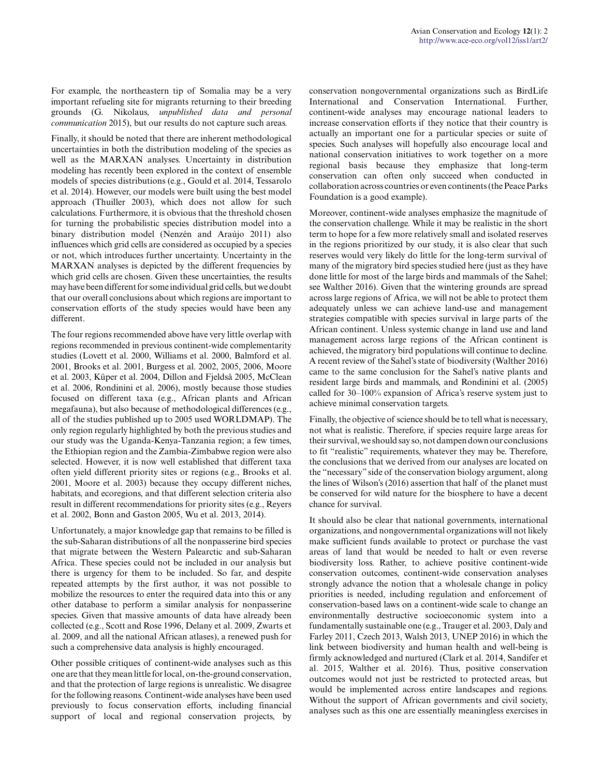For example, the northeastern tip of Somalia may be a very important refueling site for migrants returning to their breeding grounds (G. Nikolaus, *unpublished data and personal communication* 2015), but our results do not capture such areas.

Finally, it should be noted that there are inherent methodological uncertainties in both the distribution modeling of the species as well as the MARXAN analyses. Uncertainty in distribution modeling has recently been explored in the context of ensemble models of species distributions (e.g., Gould et al. 2014, Tessarolo et al. 2014). However, our models were built using the best model approach (Thuiller 2003), which does not allow for such calculations. Furthermore, it is obvious that the threshold chosen for turning the probabilistic species distribution model into a binary distribution model (Nenzén and Araújo 2011) also influences which grid cells are considered as occupied by a species or not, which introduces further uncertainty. Uncertainty in the MARXAN analyses is depicted by the different frequencies by which grid cells are chosen. Given these uncertainties, the results may have been different for some individual grid cells, but we doubt that our overall conclusions about which regions are important to conservation efforts of the study species would have been any different.

The four regions recommended above have very little overlap with regions recommended in previous continent-wide complementarity studies (Lovett et al. 2000, Williams et al. 2000, Balmford et al. 2001, Brooks et al. 2001, Burgess et al. 2002, 2005, 2006, Moore et al. 2003, Küper et al. 2004, Dillon and Fjeldså 2005, McClean et al. 2006, Rondinini et al. 2006), mostly because those studies focused on different taxa (e.g., African plants and African megafauna), but also because of methodological differences (e.g., all of the studies published up to 2005 used WORLDMAP). The only region regularly highlighted by both the previous studies and our study was the Uganda-Kenya-Tanzania region; a few times, the Ethiopian region and the Zambia-Zimbabwe region were also selected. However, it is now well established that different taxa often yield different priority sites or regions (e.g., Brooks et al. 2001, Moore et al. 2003) because they occupy different niches, habitats, and ecoregions, and that different selection criteria also result in different recommendations for priority sites (e.g., Reyers et al. 2002, Bonn and Gaston 2005, Wu et al. 2013, 2014).

Unfortunately, a major knowledge gap that remains to be filled is the sub-Saharan distributions of all the nonpasserine bird species that migrate between the Western Palearctic and sub-Saharan Africa. These species could not be included in our analysis but there is urgency for them to be included. So far, and despite repeated attempts by the first author, it was not possible to mobilize the resources to enter the required data into this or any other database to perform a similar analysis for nonpasserine species. Given that massive amounts of data have already been collected (e.g., Scott and Rose 1996, Delany et al. 2009, Zwarts et al. 2009, and all the national African atlases), a renewed push for such a comprehensive data analysis is highly encouraged.

Other possible critiques of continent-wide analyses such as this one are that they mean little for local, on-the-ground conservation, and that the protection of large regions is unrealistic. We disagree for the following reasons. Continent-wide analyses have been used previously to focus conservation efforts, including financial support of local and regional conservation projects, by conservation nongovernmental organizations such as BirdLife International and Conservation International. Further, continent-wide analyses may encourage national leaders to increase conservation efforts if they notice that their country is actually an important one for a particular species or suite of species. Such analyses will hopefully also encourage local and national conservation initiatives to work together on a more regional basis because they emphasize that long-term conservation can often only succeed when conducted in collaboration across countries or even continents (the Peace Parks Foundation is a good example).

Moreover, continent-wide analyses emphasize the magnitude of the conservation challenge. While it may be realistic in the short term to hope for a few more relatively small and isolated reserves in the regions prioritized by our study, it is also clear that such reserves would very likely do little for the long-term survival of many of the migratory bird species studied here (just as they have done little for most of the large birds and mammals of the Sahel; see Walther 2016). Given that the wintering grounds are spread across large regions of Africa, we will not be able to protect them adequately unless we can achieve land-use and management strategies compatible with species survival in large parts of the African continent. Unless systemic change in land use and land management across large regions of the African continent is achieved, the migratory bird populations will continue to decline. A recent review of the Sahel's state of biodiversity (Walther 2016) came to the same conclusion for the Sahel's native plants and resident large birds and mammals, and Rondinini et al. (2005) called for 30–100% expansion of Africa's reserve system just to achieve minimal conservation targets.

Finally, the objective of science should be to tell what is necessary, not what is realistic. Therefore, if species require large areas for their survival, we should say so, not dampen down our conclusions to fit "realistic" requirements, whatever they may be. Therefore, the conclusions that we derived from our analyses are located on the "necessary" side of the conservation biology argument, along the lines of Wilson's (2016) assertion that half of the planet must be conserved for wild nature for the biosphere to have a decent chance for survival.

It should also be clear that national governments, international organizations, and nongovernmental organizations will not likely make sufficient funds available to protect or purchase the vast areas of land that would be needed to halt or even reverse biodiversity loss. Rather, to achieve positive continent-wide conservation outcomes, continent-wide conservation analyses strongly advance the notion that a wholesale change in policy priorities is needed, including regulation and enforcement of conservation-based laws on a continent-wide scale to change an environmentally destructive socioeconomic system into a fundamentally sustainable one (e.g., Trauger et al. 2003, Daly and Farley 2011, Czech 2013, Walsh 2013, UNEP 2016) in which the link between biodiversity and human health and well-being is firmly acknowledged and nurtured (Clark et al. 2014, Sandifer et al. 2015, Walther et al. 2016). Thus, positive conservation outcomes would not just be restricted to protected areas, but would be implemented across entire landscapes and regions. Without the support of African governments and civil society, analyses such as this one are essentially meaningless exercises in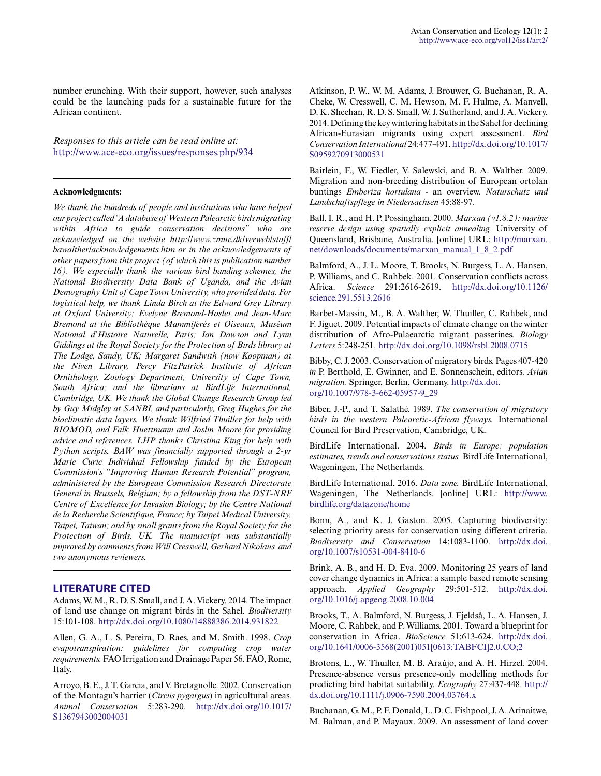number crunching. With their support, however, such analyses could be the launching pads for a sustainable future for the African continent.

*Responses to this article can be read online at:* <http://www.ace-eco.org/issues/responses.php/934>

#### **Acknowledgments:**

*We thank the hundreds of people and institutions who have helped our project called "A database of Western Palearctic birds migrating within Africa to guide conservation decisions" who are acknowledged on the website http://www.zmuc.dk/verweb/staff/ bawalther/acknowledgements.htm or in the acknowledgements of other papers from this project (of which this is publication number 16). We especially thank the various bird banding schemes, the National Biodiversity Data Bank of Uganda, and the Avian Demography Unit of Cape Town University, who provided data. For logistical help, we thank Linda Birch at the Edward Grey Library at Oxford University; Evelyne Bremond-Hoslet and Jean-Marc Bremond at the Bibliothèque Mammiferés et Oiseaux, Muséum National d'Histoire Naturelle, Paris; Ian Dawson and Lynn Giddings at the Royal Society for the Protection of Birds library at The Lodge, Sandy, UK; Margaret Sandwith (now Koopman) at the Niven Library, Percy FitzPatrick Institute of African Ornithology, Zoology Department, University of Cape Town, South Africa; and the librarians at BirdLife International, Cambridge, UK. We thank the Global Change Research Group led by Guy Midgley at SANBI, and particularly, Greg Hughes for the bioclimatic data layers. We thank Wilfried Thuiller for help with BIOMOD, and Falk Huettmann and Joslin Moore for providing advice and references. LHP thanks Christina King for help with Python scripts. BAW was financially supported through a 2-yr Marie Curie Individual Fellowship funded by the European Commission's "Improving Human Research Potential" program, administered by the European Commission Research Directorate General in Brussels, Belgium; by a fellowship from the DST-NRF Centre of Excellence for Invasion Biology; by the Centre National de la Recherche Scientifique, France; by Taipei Medical University, Taipei, Taiwan; and by small grants from the Royal Society for the Protection of Birds, UK. The manuscript was substantially improved by comments from Will Cresswell, Gerhard Nikolaus, and two anonymous reviewers.*

#### **LITERATURE CITED**

Adams, W. M., R. D. S. Small, and J. A. Vickery. 2014. The impact of land use change on migrant birds in the Sahel. *Biodiversity* 15:101-108.<http://dx.doi.org/10.1080/14888386.2014.931822>

Allen, G. A., L. S. Pereira, D. Raes, and M. Smith. 1998. *Crop evapotranspiration: guidelines for computing crop water requirements.* FAO Irrigation and Drainage Paper 56. FAO, Rome, Italy.

Arroyo, B. E., J. T. Garcia, and V. Bretagnolle. 2002. Conservation of the Montagu's harrier (*Circus pygargus*) in agricultural areas. *Animal Conservation* 5:283-290. [http://dx.doi.org/10.1017/](http://dx.doi.org/10.1017/S1367943002004031) [S1367943002004031](http://dx.doi.org/10.1017/S1367943002004031) 

Atkinson, P. W., W. M. Adams, J. Brouwer, G. Buchanan, R. A. Cheke, W. Cresswell, C. M. Hewson, M. F. Hulme, A. Manvell, D. K. Sheehan, R. D. S. Small, W. J. Sutherland, and J. A. Vickery. 2014. Defining the key wintering habitats in the Sahel for declining African-Eurasian migrants using expert assessment. *Bird Conservation International* 24:477-491. [http://dx.doi.org/10.1017/](http://dx.doi.org/10.1017/S0959270913000531) [S0959270913000531](http://dx.doi.org/10.1017/S0959270913000531) 

Bairlein, F., W. Fiedler, V. Salewski, and B. A. Walther. 2009. Migration and non-breeding distribution of European ortolan buntings *Emberiza hortulana* - an overview. *Naturschutz und Landschaftspflege in Niedersachsen* 45:88-97.

Ball, I. R., and H. P. Possingham. 2000. *Marxan (v1.8.2): marine reserve design using spatially explicit annealing.* University of Queensland, Brisbane, Australia. [online] URL: [http://marxan.](http://marxan.net/downloads/documents/marxan_manual_1_8_2.pdf) [net/downloads/documents/marxan\\_manual\\_1\\_8\\_2.pdf](http://marxan.net/downloads/documents/marxan_manual_1_8_2.pdf)

Balmford, A., J. L. Moore, T. Brooks, N. Burgess, L. A. Hansen, P. Williams, and C. Rahbek. 2001. Conservation conflicts across Africa. *Science* 291:2616-2619. [http://dx.doi.org/10.1126/](http://dx.doi.org/10.1126/science.291.5513.2616) [science.291.5513.2616](http://dx.doi.org/10.1126/science.291.5513.2616) 

Barbet-Massin, M., B. A. Walther, W. Thuiller, C. Rahbek, and F. Jiguet. 2009. Potential impacts of climate change on the winter distribution of Afro-Palaearctic migrant passerines. *Biology Letters* 5:248-251.<http://dx.doi.org/10.1098/rsbl.2008.0715>

Bibby, C. J. 2003. Conservation of migratory birds. Pages 407-420 *in* P. Berthold, E. Gwinner, and E. Sonnenschein, editors. *Avian migration.* Springer, Berlin, Germany. [http://dx.doi.](http://dx.doi.org/10.1007/978-3-662-05957-9_29) [org/10.1007/978-3-662-05957-9\\_29](http://dx.doi.org/10.1007/978-3-662-05957-9_29)

Biber, J.-P., and T. Salathé. 1989. *The conservation of migratory birds in the western Palearctic-African flyways.* International Council for Bird Preservation, Cambridge, UK.

BirdLife International. 2004. *Birds in Europe: population estimates, trends and conservations status.* BirdLife International, Wageningen, The Netherlands.

BirdLife International. 2016. *Data zone.* BirdLife International, Wageningen, The Netherlands. [online] URL: [http://www.](http://www.birdlife.org/datazone/home) [birdlife.org/datazone/home](http://www.birdlife.org/datazone/home)

Bonn, A., and K. J. Gaston. 2005. Capturing biodiversity: selecting priority areas for conservation using different criteria. *Biodiversity and Conservation* 14:1083-1100. [http://dx.doi.](http://dx.doi.org/10.1007/s10531-004-8410-6) [org/10.1007/s10531-004-8410-6](http://dx.doi.org/10.1007/s10531-004-8410-6)

Brink, A. B., and H. D. Eva. 2009. Monitoring 25 years of land cover change dynamics in Africa: a sample based remote sensing approach. *Applied Geography* 29:501-512. [http://dx.doi.](http://dx.doi.org/10.1016/j.apgeog.2008.10.004) [org/10.1016/j.apgeog.2008.10.004](http://dx.doi.org/10.1016/j.apgeog.2008.10.004) 

Brooks, T., A. Balmford, N. Burgess, J. Fjeldså, L. A. Hansen, J. Moore, C. Rahbek, and P. Williams. 2001. Toward a blueprint for conservation in Africa. *BioScience* 51:613-624. [http://dx.doi.](http://dx.doi.org/10.1641/0006-3568%282001%29051%5B0613%3ATABFCI%5D2.0.CO%3B2) [org/10.1641/0006-3568\(2001\)051\[0613:TABFCI\]2.0.CO;2](http://dx.doi.org/10.1641/0006-3568%282001%29051%5B0613%3ATABFCI%5D2.0.CO%3B2) 

Brotons, L., W. Thuiller, M. B. Araújo, and A. H. Hirzel. 2004. Presence-absence versus presence-only modelling methods for predicting bird habitat suitability. *Ecography* 27:437-448. [http://](http://dx.doi.org/10.1111/j.0906-7590.2004.03764.x) [dx.doi.org/10.1111/j.0906-7590.2004.03764.x](http://dx.doi.org/10.1111/j.0906-7590.2004.03764.x)

Buchanan, G. M., P. F. Donald, L. D. C. Fishpool, J. A. Arinaitwe, M. Balman, and P. Mayaux. 2009. An assessment of land cover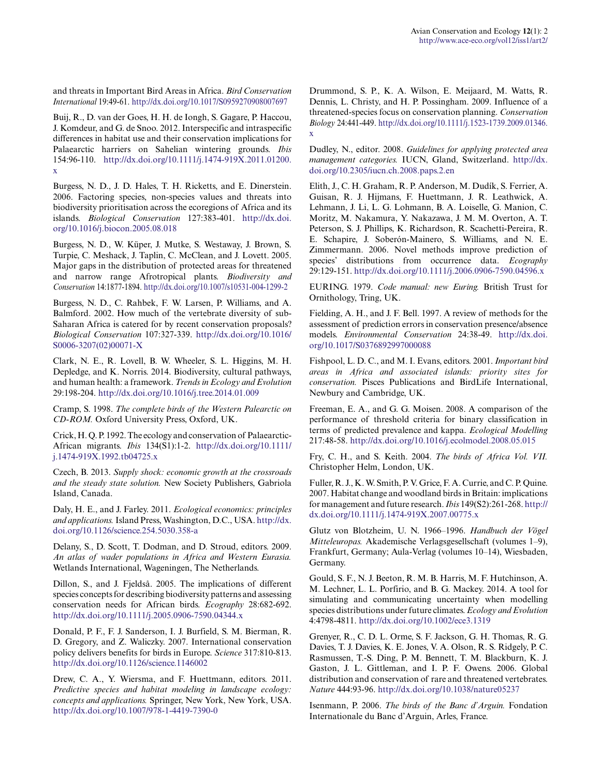and threats in Important Bird Areas in Africa. *Bird Conservation International* 19:49-61.<http://dx.doi.org/10.1017/S0959270908007697>

Buij, R., D. van der Goes, H. H. de Iongh, S. Gagare, P. Haccou, J. Komdeur, and G. de Snoo. 2012. Interspecific and intraspecific differences in habitat use and their conservation implications for Palaearctic harriers on Sahelian wintering grounds. *Ibis* 154:96-110. [http://dx.doi.org/10.1111/j.1474-919X.2011.01200.](http://dx.doi.org/10.1111/j.1474-919X.2011.01200.x) [x](http://dx.doi.org/10.1111/j.1474-919X.2011.01200.x)

Burgess, N. D., J. D. Hales, T. H. Ricketts, and E. Dinerstein. 2006. Factoring species, non-species values and threats into biodiversity prioritisation across the ecoregions of Africa and its islands. *Biological Conservation* 127:383-401. [http://dx.doi.](http://dx.doi.org/10.1016/j.biocon.2005.08.018) [org/10.1016/j.biocon.2005.08.018](http://dx.doi.org/10.1016/j.biocon.2005.08.018)

Burgess, N. D., W. Küper, J. Mutke, S. Westaway, J. Brown, S. Turpie, C. Meshack, J. Taplin, C. McClean, and J. Lovett. 2005. Major gaps in the distribution of protected areas for threatened and narrow range Afrotropical plants. *Biodiversity and Conservation* 14:1877-1894. <http://dx.doi.org/10.1007/s10531-004-1299-2>

Burgess, N. D., C. Rahbek, F. W. Larsen, P. Williams, and A. Balmford. 2002. How much of the vertebrate diversity of sub-Saharan Africa is catered for by recent conservation proposals? *Biological Conservation* 107:327-339. [http://dx.doi.org/10.1016/](http://dx.doi.org/10.1016/S0006-3207(02)00071-X) [S0006-3207\(02\)00071-X](http://dx.doi.org/10.1016/S0006-3207(02)00071-X)

Clark, N. E., R. Lovell, B. W. Wheeler, S. L. Higgins, M. H. Depledge, and K. Norris. 2014. Biodiversity, cultural pathways, and human health: a framework. *Trends in Ecology and Evolution* 29:198-204.<http://dx.doi.org/10.1016/j.tree.2014.01.009>

Cramp, S. 1998. *The complete birds of the Western Palearctic on CD-ROM.* Oxford University Press, Oxford, UK.

Crick, H. Q. P. 1992. The ecology and conservation of Palaearctic-African migrants. *Ibis* 134(S1):1-2. [http://dx.doi.org/10.1111/](http://dx.doi.org/10.1111/j.1474-919X.1992.tb04725.x) [j.1474-919X.1992.tb04725.x](http://dx.doi.org/10.1111/j.1474-919X.1992.tb04725.x) 

Czech, B. 2013. *Supply shock: economic growth at the crossroads and the steady state solution.* New Society Publishers, Gabriola Island, Canada.

Daly, H. E., and J. Farley. 2011. *Ecological economics: principles and applications.* Island Press, Washington, D.C., USA. [http://dx.](http://dx.doi.org/10.1126/science.254.5030.358-a) [doi.org/10.1126/science.254.5030.358-a](http://dx.doi.org/10.1126/science.254.5030.358-a) 

Delany, S., D. Scott, T. Dodman, and D. Stroud, editors. 2009. *An atlas of wader populations in Africa and Western Eurasia.* Wetlands International, Wageningen, The Netherlands.

Dillon, S., and J. Fjeldså. 2005. The implications of different species concepts for describing biodiversity patterns and assessing conservation needs for African birds. *Ecography* 28:682-692. <http://dx.doi.org/10.1111/j.2005.0906-7590.04344.x>

Donald, P. F., F. J. Sanderson, I. J. Burfield, S. M. Bierman, R. D. Gregory, and Z. Waliczky. 2007. International conservation policy delivers benefits for birds in Europe. *Science* 317:810-813. <http://dx.doi.org/10.1126/science.1146002>

Drew, C. A., Y. Wiersma, and F. Huettmann, editors. 2011. *Predictive species and habitat modeling in landscape ecology: concepts and applications.* Springer, New York, New York, USA. <http://dx.doi.org/10.1007/978-1-4419-7390-0>

Drummond, S. P., K. A. Wilson, E. Meijaard, M. Watts, R. Dennis, L. Christy, and H. P. Possingham. 2009. Influence of a threatened-species focus on conservation planning. *Conservation Biology* 24:441-449. [http://dx.doi.org/10.1111/j.1523-1739.2009.01346.](http://dx.doi.org/10.1111/j.1523-1739.2009.01346.x) [x](http://dx.doi.org/10.1111/j.1523-1739.2009.01346.x) 

Dudley, N., editor. 2008. *Guidelines for applying protected area management categories.* IUCN, Gland, Switzerland. [http://dx.](http://dx.doi.org/10.2305/iucn.ch.2008.paps.2.en) [doi.org/10.2305/iucn.ch.2008.paps.2.en](http://dx.doi.org/10.2305/iucn.ch.2008.paps.2.en) 

Elith, J., C. H. Graham, R. P. Anderson, M. Dudík, S. Ferrier, A. Guisan, R. J. Hijmans, F. Huettmann, J. R. Leathwick, A. Lehmann, J. Li, L. G. Lohmann, B. A. Loiselle, G. Manion, C. Moritz, M. Nakamura, Y. Nakazawa, J. M. M. Overton, A. T. Peterson, S. J. Phillips, K. Richardson, R. Scachetti-Pereira, R. E. Schapire, J. Soberón-Mainero, S. Williams, and N. E. Zimmermann. 2006. Novel methods improve prediction of species' distributions from occurrence data. *Ecography* 29:129-151.<http://dx.doi.org/10.1111/j.2006.0906-7590.04596.x>

EURING. 1979. *Code manual: new Euring.* British Trust for Ornithology, Tring, UK.

Fielding, A. H., and J. F. Bell. 1997. A review of methods for the assessment of prediction errors in conservation presence/absence models. *Environmental Conservation* 24:38-49. [http://dx.doi.](http://dx.doi.org/10.1017/S0376892997000088) [org/10.1017/S0376892997000088](http://dx.doi.org/10.1017/S0376892997000088)

Fishpool, L. D. C., and M. I. Evans, editors. 2001. *Important bird areas in Africa and associated islands: priority sites for conservation.* Pisces Publications and BirdLife International, Newbury and Cambridge, UK.

Freeman, E. A., and G. G. Moisen. 2008. A comparison of the performance of threshold criteria for binary classification in terms of predicted prevalence and kappa. *Ecological Modelling* 217:48-58. <http://dx.doi.org/10.1016/j.ecolmodel.2008.05.015>

Fry, C. H., and S. Keith. 2004. *The birds of Africa Vol. VII.* Christopher Helm, London, UK.

Fuller, R. J., K. W. Smith, P. V. Grice, F. A. Currie, and C. P. Quine. 2007. Habitat change and woodland birds in Britain: implications for management and future research. *Ibis* 149(S2):261-268. [http://](http://dx.doi.org/10.1111/j.1474-919X.2007.00775.x) [dx.doi.org/10.1111/j.1474-919X.2007.00775.x](http://dx.doi.org/10.1111/j.1474-919X.2007.00775.x) 

Glutz von Blotzheim, U. N. 1966–1996. *Handbuch der Vögel Mitteleuropas.* Akademische Verlagsgesellschaft (volumes 1–9), Frankfurt, Germany; Aula-Verlag (volumes 10–14), Wiesbaden, Germany.

Gould, S. F., N. J. Beeton, R. M. B. Harris, M. F. Hutchinson, A. M. Lechner, L. L. Porfirio, and B. G. Mackey. 2014. A tool for simulating and communicating uncertainty when modelling species distributions under future climates. *Ecology and Evolution* 4:4798-4811. <http://dx.doi.org/10.1002/ece3.1319>

Grenyer, R., C. D. L. Orme, S. F. Jackson, G. H. Thomas, R. G. Davies, T. J. Davies, K. E. Jones, V. A. Olson, R. S. Ridgely, P. C. Rasmussen, T.-S. Ding, P. M. Bennett, T. M. Blackburn, K. J. Gaston, J. L. Gittleman, and I. P. F. Owens. 2006. Global distribution and conservation of rare and threatened vertebrates. *Nature* 444:93-96. <http://dx.doi.org/10.1038/nature05237>

Isenmann, P. 2006. *The birds of the Banc d'Arguin.* Fondation Internationale du Banc d'Arguin, Arles, France.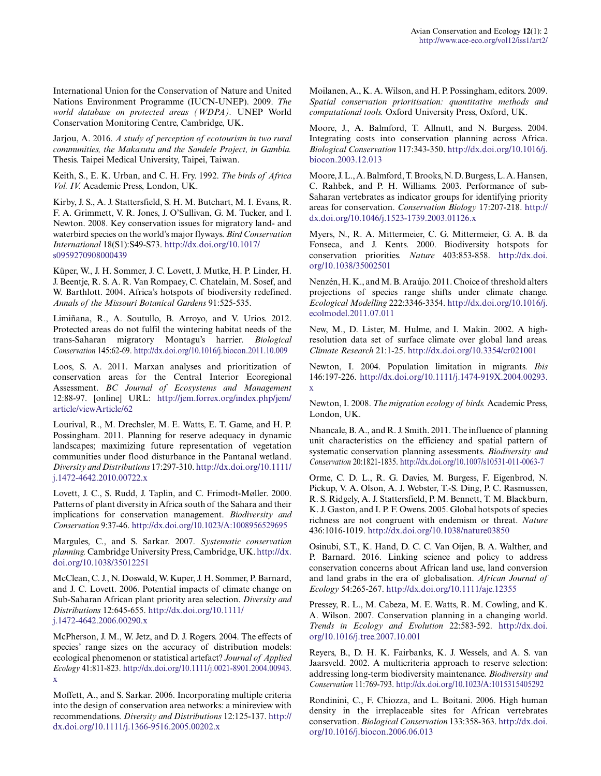International Union for the Conservation of Nature and United Nations Environment Programme (IUCN-UNEP). 2009. *The world database on protected areas (WDPA).* UNEP World Conservation Monitoring Centre, Cambridge, UK.

Jarjou, A. 2016. *A study of perception of ecotourism in two rural communities, the Makasutu and the Sandele Project, in Gambia.* Thesis. Taipei Medical University, Taipei, Taiwan.

Keith, S., E. K. Urban, and C. H. Fry. 1992. *The birds of Africa Vol. IV.* Academic Press, London, UK.

Kirby, J. S., A. J. Stattersfield, S. H. M. Butchart, M. I. Evans, R. F. A. Grimmett, V. R. Jones, J. O'Sullivan, G. M. Tucker, and I. Newton. 2008. Key conservation issues for migratory land- and waterbird species on the world's major flyways. *Bird Conservation International* 18(S1):S49-S73. [http://dx.doi.org/10.1017/](http://dx.doi.org/10.1017/s0959270908000439) [s0959270908000439](http://dx.doi.org/10.1017/s0959270908000439)

Küper, W., J. H. Sommer, J. C. Lovett, J. Mutke, H. P. Linder, H. J. Beentje, R. S. A. R. Van Rompaey, C. Chatelain, M. Sosef, and W. Barthlott. 2004. Africa's hotspots of biodiversity redefined. *Annals of the Missouri Botanical Gardens* 91:525-535.

Limiñana, R., A. Soutullo, B. Arroyo, and V. Urios. 2012. Protected areas do not fulfil the wintering habitat needs of the trans-Saharan migratory Montagu's harrier. *Biological Conservation* 145:62-69.<http://dx.doi.org/10.1016/j.biocon.2011.10.009>

Loos, S. A. 2011. Marxan analyses and prioritization of conservation areas for the Central Interior Ecoregional Assessment. *BC Journal of Ecosystems and Management* 12:88-97. [online] URL: [http://jem.forrex.org/index.php/jem/](http://jem.forrex.org/index.php/jem/article/viewArticle/62) [article/viewArticle/62](http://jem.forrex.org/index.php/jem/article/viewArticle/62)

Lourival, R., M. Drechsler, M. E. Watts, E. T. Game, and H. P. Possingham. 2011. Planning for reserve adequacy in dynamic landscapes; maximizing future representation of vegetation communities under flood disturbance in the Pantanal wetland. *Diversity and Distributions* 17:297-310. [http://dx.doi.org/10.1111/](http://dx.doi.org/10.1111/j.1472-4642.2010.00722.x) [j.1472-4642.2010.00722.x](http://dx.doi.org/10.1111/j.1472-4642.2010.00722.x)

Lovett, J. C., S. Rudd, J. Taplin, and C. Frimodt-Møller. 2000. Patterns of plant diversity in Africa south of the Sahara and their implications for conservation management. *Biodiversity and Conservation* 9:37-46. [http://dx.doi.org/10.1023/A:1008956529695](http://dx.doi.org/10.1023/A%3A1008956529695) 

Margules, C., and S. Sarkar. 2007. *Systematic conservation planning.* Cambridge University Press, Cambridge, UK. [http://dx.](http://dx.doi.org/10.1038/35012251) [doi.org/10.1038/35012251](http://dx.doi.org/10.1038/35012251)

McClean, C. J., N. Doswald, W. Kuper, J. H. Sommer, P. Barnard, and J. C. Lovett. 2006. Potential impacts of climate change on Sub-Saharan African plant priority area selection. *Diversity and Distributions* 12:645-655. [http://dx.doi.org/10.1111/](http://dx.doi.org/10.1111/j.1472-4642.2006.00290.x) [j.1472-4642.2006.00290.x](http://dx.doi.org/10.1111/j.1472-4642.2006.00290.x)

McPherson, J. M., W. Jetz, and D. J. Rogers. 2004. The effects of species' range sizes on the accuracy of distribution models: ecological phenomenon or statistical artefact? *Journal of Applied Ecology* 41:811-823. [http://dx.doi.org/10.1111/j.0021-8901.2004.00943.](http://dx.doi.org/10.1111/j.0021-8901.2004.00943.x) [x](http://dx.doi.org/10.1111/j.0021-8901.2004.00943.x)

Moffett, A., and S. Sarkar. 2006. Incorporating multiple criteria into the design of conservation area networks: a minireview with recommendations. *Diversity and Distributions* 12:125-137. [http://](http://dx.doi.org/10.1111/j.1366-9516.2005.00202.x) [dx.doi.org/10.1111/j.1366-9516.2005.00202.x](http://dx.doi.org/10.1111/j.1366-9516.2005.00202.x)

Moilanen, A., K. A. Wilson, and H. P. Possingham, editors. 2009. *Spatial conservation prioritisation: quantitative methods and computational tools.* Oxford University Press, Oxford, UK.

Moore, J., A. Balmford, T. Allnutt, and N. Burgess. 2004. Integrating costs into conservation planning across Africa. *Biological Conservation* 117:343-350. [http://dx.doi.org/10.1016/j.](http://dx.doi.org/10.1016/j.biocon.2003.12.013) [biocon.2003.12.013](http://dx.doi.org/10.1016/j.biocon.2003.12.013)

Moore, J. L., A. Balmford, T. Brooks, N. D. Burgess, L. A. Hansen, C. Rahbek, and P. H. Williams. 2003. Performance of sub-Saharan vertebrates as indicator groups for identifying priority areas for conservation. *Conservation Biology* 17:207-218. [http://](http://dx.doi.org/10.1046/j.1523-1739.2003.01126.x) [dx.doi.org/10.1046/j.1523-1739.2003.01126.x](http://dx.doi.org/10.1046/j.1523-1739.2003.01126.x)

Myers, N., R. A. Mittermeier, C. G. Mittermeier, G. A. B. da Fonseca, and J. Kents. 2000. Biodiversity hotspots for conservation priorities. *Nature* 403:853-858. [http://dx.doi.](http://dx.doi.org/10.1038/35002501) [org/10.1038/35002501](http://dx.doi.org/10.1038/35002501)

Nenzén, H. K., and M. B. Araújo. 2011. Choice of threshold alters projections of species range shifts under climate change. *Ecological Modelling* 222:3346-3354. [http://dx.doi.org/10.1016/j.](http://dx.doi.org/10.1016/j.ecolmodel.2011.07.011) [ecolmodel.2011.07.011](http://dx.doi.org/10.1016/j.ecolmodel.2011.07.011) 

New, M., D. Lister, M. Hulme, and I. Makin. 2002. A highresolution data set of surface climate over global land areas. *Climate Research* 21:1-25.<http://dx.doi.org/10.3354/cr021001>

Newton, I. 2004. Population limitation in migrants. *Ibis* 146:197-226. [http://dx.doi.org/10.1111/j.1474-919X.2004.00293.](http://dx.doi.org/10.1111/j.1474-919X.2004.00293.x) [x](http://dx.doi.org/10.1111/j.1474-919X.2004.00293.x) 

Newton, I. 2008. *The migration ecology of birds.* Academic Press, London, UK.

Nhancale, B. A., and R. J. Smith. 2011. The influence of planning unit characteristics on the efficiency and spatial pattern of systematic conservation planning assessments. *Biodiversity and Conservation* 20:1821-1835. <http://dx.doi.org/10.1007/s10531-011-0063-7>

Orme, C. D. L., R. G. Davies, M. Burgess, F. Eigenbrod, N. Pickup, V. A. Olson, A. J. Webster, T.-S. Ding, P. C. Rasmussen, R. S. Ridgely, A. J. Stattersfield, P. M. Bennett, T. M. Blackburn, K. J. Gaston, and I. P. F. Owens. 2005. Global hotspots of species richness are not congruent with endemism or threat. *Nature* 436:1016-1019. <http://dx.doi.org/10.1038/nature03850>

Osinubi, S.T., K. Hand, D. C. C. Van Oijen, B. A. Walther, and P. Barnard. 2016. Linking science and policy to address conservation concerns about African land use, land conversion and land grabs in the era of globalisation. *African Journal of Ecology* 54:265-267. <http://dx.doi.org/10.1111/aje.12355>

Pressey, R. L., M. Cabeza, M. E. Watts, R. M. Cowling, and K. A. Wilson. 2007. Conservation planning in a changing world. *Trends in Ecology and Evolution* 22:583-592. [http://dx.doi.](http://dx.doi.org/10.1016/j.tree.2007.10.001) [org/10.1016/j.tree.2007.10.001](http://dx.doi.org/10.1016/j.tree.2007.10.001) 

Reyers, B., D. H. K. Fairbanks, K. J. Wessels, and A. S. van Jaarsveld. 2002. A multicriteria approach to reserve selection: addressing long-term biodiversity maintenance. *Biodiversity and Conservation* 11:769-793. [http://dx.doi.org/10.1023/A:1015315405292](http://dx.doi.org/10.1023/A%3A1015315405292) 

Rondinini, C., F. Chiozza, and L. Boitani. 2006. High human density in the irreplaceable sites for African vertebrates conservation. *Biological Conservation* 133:358-363. [http://dx.doi.](http://dx.doi.org/10.1016/j.biocon.2006.06.013) [org/10.1016/j.biocon.2006.06.013](http://dx.doi.org/10.1016/j.biocon.2006.06.013)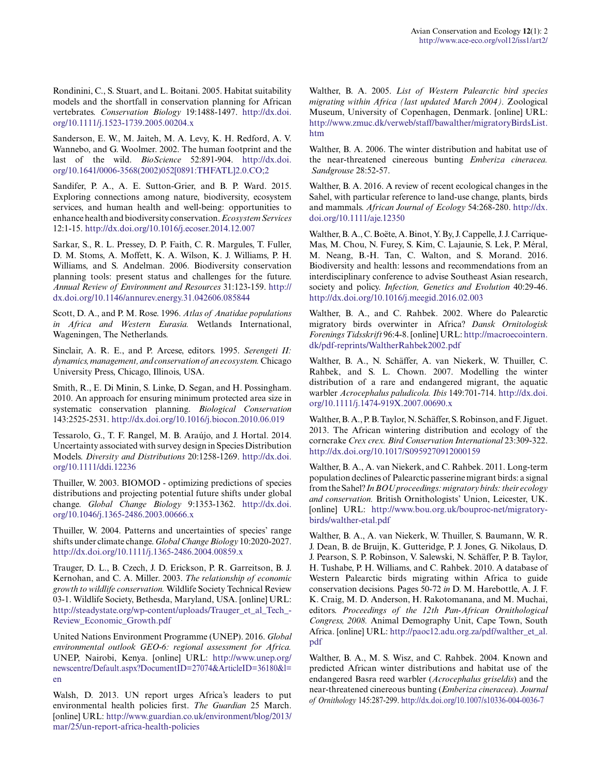Rondinini, C., S. Stuart, and L. Boitani. 2005. Habitat suitability models and the shortfall in conservation planning for African vertebrates. *Conservation Biology* 19:1488-1497. [http://dx.doi.](http://dx.doi.org/10.1111/j.1523-1739.2005.00204.x) [org/10.1111/j.1523-1739.2005.00204.x](http://dx.doi.org/10.1111/j.1523-1739.2005.00204.x)

Sanderson, E. W., M. Jaiteh, M. A. Levy, K. H. Redford, A. V. Wannebo, and G. Woolmer. 2002. The human footprint and the last of the wild. *BioScience* 52:891-904. [http://dx.doi.](http://dx.doi.org/10.1641/0006-3568%282002%29052%5B0891%3ATHFATL%5D2.0.CO%3B2) [org/10.1641/0006-3568\(2002\)052\[0891:THFATL\]2.0.CO;2](http://dx.doi.org/10.1641/0006-3568%282002%29052%5B0891%3ATHFATL%5D2.0.CO%3B2)

Sandifer, P. A., A. E. Sutton-Grier, and B. P. Ward. 2015. Exploring connections among nature, biodiversity, ecosystem services, and human health and well-being: opportunities to enhance health and biodiversity conservation. *Ecosystem Services* 12:1-15. <http://dx.doi.org/10.1016/j.ecoser.2014.12.007>

Sarkar, S., R. L. Pressey, D. P. Faith, C. R. Margules, T. Fuller, D. M. Stoms, A. Moffett, K. A. Wilson, K. J. Williams, P. H. Williams, and S. Andelman. 2006. Biodiversity conservation planning tools: present status and challenges for the future. *Annual Review of Environment and Resources* 31:123-159. [http://](http://dx.doi.org/10.1146/annurev.energy.31.042606.085844) [dx.doi.org/10.1146/annurev.energy.31.042606.085844](http://dx.doi.org/10.1146/annurev.energy.31.042606.085844) 

Scott, D. A., and P. M. Rose. 1996. *Atlas of Anatidae populations in Africa and Western Eurasia.* Wetlands International, Wageningen, The Netherlands.

Sinclair, A. R. E., and P. Arcese, editors. 1995. *Serengeti II: dynamics, management, and conservation of an ecosystem.* Chicago University Press, Chicago, Illinois, USA.

Smith, R., E. Di Minin, S. Linke, D. Segan, and H. Possingham. 2010. An approach for ensuring minimum protected area size in systematic conservation planning. *Biological Conservation* 143:2525-2531. <http://dx.doi.org/10.1016/j.biocon.2010.06.019>

Tessarolo, G., T. F. Rangel, M. B. Araújo, and J. Hortal. 2014. Uncertainty associated with survey design in Species Distribution Models. *Diversity and Distributions* 20:1258-1269. [http://dx.doi.](http://dx.doi.org/10.1111/ddi.12236) [org/10.1111/ddi.12236](http://dx.doi.org/10.1111/ddi.12236)

Thuiller, W. 2003. BIOMOD - optimizing predictions of species distributions and projecting potential future shifts under global change. *Global Change Biology* 9:1353-1362. [http://dx.doi.](http://dx.doi.org/10.1046/j.1365-2486.2003.00666.x) [org/10.1046/j.1365-2486.2003.00666.x](http://dx.doi.org/10.1046/j.1365-2486.2003.00666.x)

Thuiller, W. 2004. Patterns and uncertainties of species' range shifts under climate change. *Global Change Biology* 10:2020-2027. <http://dx.doi.org/10.1111/j.1365-2486.2004.00859.x>

Trauger, D. L., B. Czech, J. D. Erickson, P. R. Garreitson, B. J. Kernohan, and C. A. Miller. 2003. *The relationship of economic growth to wildlife conservation.* Wildlife Society Technical Review 03-1. Wildlife Society, Bethesda, Maryland, USA. [online] URL: [http://steadystate.org/wp-content/uploads/Trauger\\_et\\_al\\_Tech\\_](http://steadystate.org/wp-content/uploads/Trauger_et_al_Tech_Review_Economic_Growth.pdf) [Review\\_Economic\\_Growth.pdf](http://steadystate.org/wp-content/uploads/Trauger_et_al_Tech_Review_Economic_Growth.pdf)

United Nations Environment Programme (UNEP). 2016. *Global environmental outlook GEO-6: regional assessment for Africa.* UNEP, Nairobi, Kenya. [online] URL: [http://www.unep.org/](http://www.unep.org/newscentre/Default.aspx?DocumentID=27074&ArticleID=36180&l=en) [newscentre/Default.aspx?DocumentID=27074&ArticleID=36180&l=](http://www.unep.org/newscentre/Default.aspx?DocumentID=27074&ArticleID=36180&l=en) [en](http://www.unep.org/newscentre/Default.aspx?DocumentID=27074&ArticleID=36180&l=en) 

Walsh, D. 2013. UN report urges Africa's leaders to put environmental health policies first. *The Guardian* 25 March. [online] URL: [http://www.guardian.co.uk/environment/blog/2013/](http://www.guardian.co.uk/environment/blog/2013/mar/25/un-report-africa-health-policies) [mar/25/un-report-africa-health-policies](http://www.guardian.co.uk/environment/blog/2013/mar/25/un-report-africa-health-policies)

Walther, B. A. 2005. *List of Western Palearctic bird species migrating within Africa (last updated March 2004).* Zoological Museum, University of Copenhagen, Denmark. [online] URL: [http://www.zmuc.dk/verweb/staff/bawalther/migratoryBirdsList.](http://www.zmuc.dk/verweb/staff/bawalther/migratoryBirdsList.htm) [htm](http://www.zmuc.dk/verweb/staff/bawalther/migratoryBirdsList.htm)

Walther, B. A. 2006. The winter distribution and habitat use of the near-threatened cinereous bunting *Emberiza cineracea. Sandgrouse* 28:52-57.

Walther, B. A. 2016. A review of recent ecological changes in the Sahel, with particular reference to land-use change, plants, birds and mammals. *African Journal of Ecology* 54:268-280. [http://dx.](http://dx.doi.org/10.1111/aje.12350) [doi.org/10.1111/aje.12350](http://dx.doi.org/10.1111/aje.12350)

Walther, B. A., C. Boëte, A. Binot, Y. By, J. Cappelle, J. J. Carrique-Mas, M. Chou, N. Furey, S. Kim, C. Lajaunie, S. Lek, P. Méral, M. Neang, B.-H. Tan, C. Walton, and S. Morand. 2016. Biodiversity and health: lessons and recommendations from an interdisciplinary conference to advise Southeast Asian research, society and policy. *Infection, Genetics and Evolution* 40:29-46. <http://dx.doi.org/10.1016/j.meegid.2016.02.003>

Walther, B. A., and C. Rahbek. 2002. Where do Palearctic migratory birds overwinter in Africa? *Dansk Ornitologisk Forenings Tidsskrift* 96:4-8. [online] URL: [http://macroecointern.](http://macroecointern.dk/pdf-reprints/WaltherRahbek2002.pdf) [dk/pdf-reprints/WaltherRahbek2002.pdf](http://macroecointern.dk/pdf-reprints/WaltherRahbek2002.pdf)

Walther, B. A., N. Schäffer, A. van Niekerk, W. Thuiller, C. Rahbek, and S. L. Chown. 2007. Modelling the winter distribution of a rare and endangered migrant, the aquatic warbler *Acrocephalus paludicola. Ibis* 149:701-714. [http://dx.doi.](http://dx.doi.org/10.1111/j.1474-919X.2007.00690.x) [org/10.1111/j.1474-919X.2007.00690.x](http://dx.doi.org/10.1111/j.1474-919X.2007.00690.x) 

Walther, B. A., P. B. Taylor, N. Schäffer, S. Robinson, and F. Jiguet. 2013. The African wintering distribution and ecology of the corncrake *Crex crex. Bird Conservation International* 23:309-322. <http://dx.doi.org/10.1017/S0959270912000159>

Walther, B. A., A. van Niekerk, and C. Rahbek. 2011. Long-term population declines of Palearctic passerine migrant birds: a signal from the Sahel? *InBOU proceedings: migratory birds: their ecology and conservation.* British Ornithologists' Union, Leicester, UK. [online] URL: [http://www.bou.org.uk/bouproc-net/migratory](http://www.bou.org.uk/bouproc-net/migratory-birds/walther-etal.pdf)[birds/walther-etal.pdf](http://www.bou.org.uk/bouproc-net/migratory-birds/walther-etal.pdf)

Walther, B. A., A. van Niekerk, W. Thuiller, S. Baumann, W. R. J. Dean, B. de Bruijn, K. Gutteridge, P. J. Jones, G. Nikolaus, D. J. Pearson, S. P. Robinson, V. Salewski, N. Schäffer, P. B. Taylor, H. Tushabe, P. H. Williams, and C. Rahbek. 2010. A database of Western Palearctic birds migrating within Africa to guide conservation decisions. Pages 50-72 *in* D. M. Harebottle, A. J. F. K. Craig, M. D. Anderson, H. Rakotomanana, and M. Muchai, editors. *Proceedings of the 12th Pan-African Ornithological Congress, 2008.* Animal Demography Unit, Cape Town, South Africa. [online] URL: [http://paoc12.adu.org.za/pdf/walther\\_et\\_al.](http://paoc12.adu.org.za/pdf/walther_et_al.pdf) [pdf](http://paoc12.adu.org.za/pdf/walther_et_al.pdf)

Walther, B. A., M. S. Wisz, and C. Rahbek. 2004. Known and predicted African winter distributions and habitat use of the endangered Basra reed warbler (*Acrocephalus griseldis*) and the near-threatened cinereous bunting (*Emberiza cineracea*). *Journal of Ornithology* 145:287-299. <http://dx.doi.org/10.1007/s10336-004-0036-7>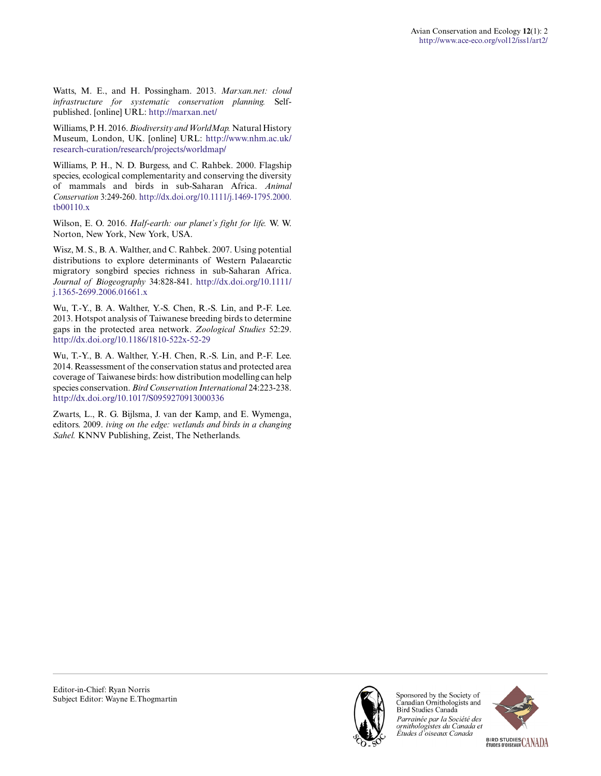Watts, M. E., and H. Possingham. 2013. *Marxan.net: cloud infrastructure for systematic conservation planning.* Selfpublished. [online] URL: <http://marxan.net/>

Williams, P. H. 2016. *Biodiversity and WorldMap.* Natural History Museum, London, UK. [online] URL: [http://www.nhm.ac.uk/](http://www.nhm.ac.uk/research-curation/research/projects/worldmap/) [research-curation/research/projects/worldmap/](http://www.nhm.ac.uk/research-curation/research/projects/worldmap/)

Williams, P. H., N. D. Burgess, and C. Rahbek. 2000. Flagship species, ecological complementarity and conserving the diversity of mammals and birds in sub-Saharan Africa. *Animal Conservation* 3:249-260. [http://dx.doi.org/10.1111/j.1469-1795.2000.](http://dx.doi.org/10.1111/j.1469-1795.2000.tb00110.x) [tb00110.x](http://dx.doi.org/10.1111/j.1469-1795.2000.tb00110.x)

Wilson, E. O. 2016. *Half-earth: our planet's fight for life.* W. W. Norton, New York, New York, USA.

Wisz, M. S., B. A. Walther, and C. Rahbek. 2007. Using potential distributions to explore determinants of Western Palaearctic migratory songbird species richness in sub-Saharan Africa. *Journal of Biogeography* 34:828-841. [http://dx.doi.org/10.1111/](http://dx.doi.org/10.1111/j.1365-2699.2006.01661.x) [j.1365-2699.2006.01661.x](http://dx.doi.org/10.1111/j.1365-2699.2006.01661.x)

Wu, T.-Y., B. A. Walther, Y.-S. Chen, R.-S. Lin, and P.-F. Lee. 2013. Hotspot analysis of Taiwanese breeding birds to determine gaps in the protected area network. *Zoological Studies* 52:29. <http://dx.doi.org/10.1186/1810-522x-52-29>

Wu, T.-Y., B. A. Walther, Y.-H. Chen, R.-S. Lin, and P.-F. Lee. 2014. Reassessment of the conservation status and protected area coverage of Taiwanese birds: how distribution modelling can help species conservation. *Bird Conservation International* 24:223-238. <http://dx.doi.org/10.1017/S0959270913000336>

Zwarts, L., R. G. Bijlsma, J. van der Kamp, and E. Wymenga, editors. 2009. *iving on the edge: wetlands and birds in a changing Sahel.* KNNV Publishing, Zeist, The Netherlands.





Sponsored by the Society of Canadian Ornithologists and Bird Studies Canada Parrainée par la Société des ornithologistes du Canada et Études d'oiseaux Canada



BIRD STUDIES CANADA